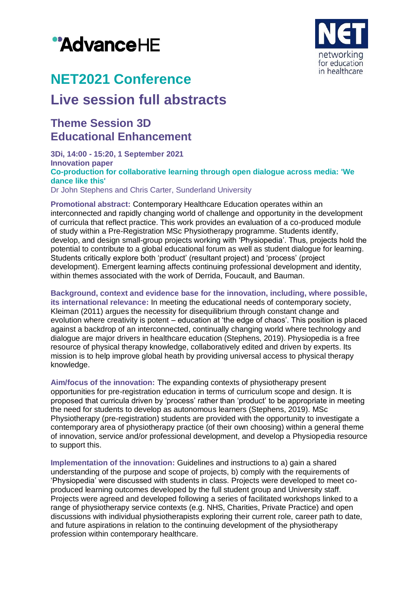# "AdvanceHE



# **NET2021 Conference**

## **Live session full abstracts**

### **Theme Session 3D Educational Enhancement**

**3Di, 14:00 - 15:20, 1 September 2021 Innovation paper Co-production for collaborative learning through open dialogue across media: 'We dance like this'** Dr John Stephens and Chris Carter, Sunderland University

**Promotional abstract:** Contemporary Healthcare Education operates within an interconnected and rapidly changing world of challenge and opportunity in the development of curricula that reflect practice. This work provides an evaluation of a co-produced module of study within a Pre-Registration MSc Physiotherapy programme. Students identify, develop, and design small-group projects working with 'Physiopedia'. Thus, projects hold the potential to contribute to a global educational forum as well as student dialogue for learning. Students critically explore both 'product' (resultant project) and 'process' (project development). Emergent learning affects continuing professional development and identity, within themes associated with the work of Derrida, Foucault, and Bauman.

**Background, context and evidence base for the innovation, including, where possible, its international relevance:** In meeting the educational needs of contemporary society, Kleiman (2011) argues the necessity for disequilibrium through constant change and evolution where creativity is potent – education at 'the edge of chaos'. This position is placed against a backdrop of an interconnected, continually changing world where technology and dialogue are major drivers in healthcare education (Stephens, 2019). Physiopedia is a free resource of physical therapy knowledge, collaboratively edited and driven by experts. Its mission is to help improve global heath by providing universal access to physical therapy knowledge.

**Aim/focus of the innovation:** The expanding contexts of physiotherapy present opportunities for pre-registration education in terms of curriculum scope and design. It is proposed that curricula driven by 'process' rather than 'product' to be appropriate in meeting the need for students to develop as autonomous learners (Stephens, 2019). MSc Physiotherapy (pre-registration) students are provided with the opportunity to investigate a contemporary area of physiotherapy practice (of their own choosing) within a general theme of innovation, service and/or professional development, and develop a Physiopedia resource to support this.

**Implementation of the innovation:** Guidelines and instructions to a) gain a shared understanding of the purpose and scope of projects, b) comply with the requirements of 'Physiopedia' were discussed with students in class. Projects were developed to meet coproduced learning outcomes developed by the full student group and University staff. Projects were agreed and developed following a series of facilitated workshops linked to a range of physiotherapy service contexts (e.g. NHS, Charities, Private Practice) and open discussions with individual physiotherapists exploring their current role, career path to date, and future aspirations in relation to the continuing development of the physiotherapy profession within contemporary healthcare.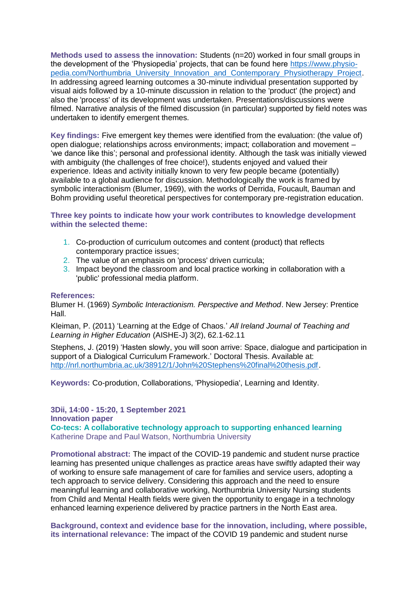**Methods used to assess the innovation:** Students (n=20) worked in four small groups in the development of the 'Physiopedia' projects, that can be found here [https://www.physio](https://www.physio-pedia.com/Northumbria_University_Innovation_and_Contemporary_Physiotherapy_Project)[pedia.com/Northumbria\\_University\\_Innovation\\_and\\_Contemporary\\_Physiotherapy\\_Project.](https://www.physio-pedia.com/Northumbria_University_Innovation_and_Contemporary_Physiotherapy_Project) In addressing agreed learning outcomes a 30-minute individual presentation supported by visual aids followed by a 10-minute discussion in relation to the 'product' (the project) and also the 'process' of its development was undertaken. Presentations/discussions were filmed. Narrative analysis of the filmed discussion (in particular) supported by field notes was undertaken to identify emergent themes.

**Key findings:** Five emergent key themes were identified from the evaluation: (the value of) open dialogue; relationships across environments; impact; collaboration and movement – 'we dance like this'; personal and professional identity. Although the task was initially viewed with ambiguity (the challenges of free choice!), students enjoyed and valued their experience. Ideas and activity initially known to very few people became (potentially) available to a global audience for discussion. Methodologically the work is framed by symbolic interactionism (Blumer, 1969), with the works of Derrida, Foucault, Bauman and Bohm providing useful theoretical perspectives for contemporary pre-registration education.

**Three key points to indicate how your work contributes to knowledge development within the selected theme:**

- 1. Co-production of curriculum outcomes and content (product) that reflects contemporary practice issues;
- 2. The value of an emphasis on 'process' driven curricula;
- 3. Impact beyond the classroom and local practice working in collaboration with a 'public' professional media platform.

#### **References:**

Blumer H. (1969) *Symbolic Interactionism. Perspective and Method*. New Jersey: Prentice Hall.

Kleiman, P. (2011) 'Learning at the Edge of Chaos.' *All Ireland Journal of Teaching and Learning in Higher Education* (AISHE-J) 3(2), 62.1-62.11

Stephens, J. (2019) 'Hasten slowly, you will soon arrive: Space, dialogue and participation in support of a Dialogical Curriculum Framework.' Doctoral Thesis. Available at: [http://nrl.northumbria.ac.uk/38912/1/John%20Stephens%20final%20thesis.pdf.](http://nrl.northumbria.ac.uk/38912/1/John%20Stephens%20final%20thesis.pdf)

**Keywords:** Co-prodution, Collaborations, 'Physiopedia', Learning and Identity.

**3Dii, 14:00 - 15:20, 1 September 2021 Innovation paper Co-tecs: A collaborative technology approach to supporting enhanced learning** Katherine Drape and Paul Watson, Northumbria University

**Promotional abstract:** The impact of the COVID-19 pandemic and student nurse practice learning has presented unique challenges as practice areas have swiftly adapted their way of working to ensure safe management of care for families and service users, adopting a tech approach to service delivery. Considering this approach and the need to ensure meaningful learning and collaborative working, Northumbria University Nursing students from Child and Mental Health fields were given the opportunity to engage in a technology enhanced learning experience delivered by practice partners in the North East area.

**Background, context and evidence base for the innovation, including, where possible, its international relevance:** The impact of the COVID 19 pandemic and student nurse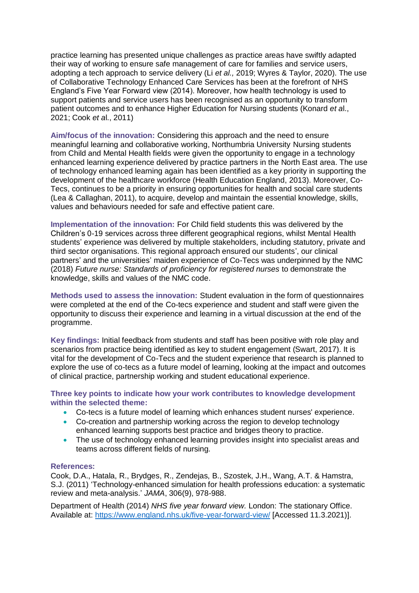practice learning has presented unique challenges as practice areas have swiftly adapted their way of working to ensure safe management of care for families and service users, adopting a tech approach to service delivery (Li *et al.,* 2019; Wyres & Taylor, 2020). The use of Collaborative Technology Enhanced Care Services has been at the forefront of NHS England's Five Year Forward view (2014). Moreover, how health technology is used to support patients and service users has been recognised as an opportunity to transform patient outcomes and to enhance Higher Education for Nursing students (Konard *et a*l., 2021; Cook *et a*l., 2011)

**Aim/focus of the innovation:** Considering this approach and the need to ensure meaningful learning and collaborative working, Northumbria University Nursing students from Child and Mental Health fields were given the opportunity to engage in a technology enhanced learning experience delivered by practice partners in the North East area. The use of technology enhanced learning again has been identified as a key priority in supporting the development of the healthcare workforce (Health Education England, 2013). Moreover, Co-Tecs, continues to be a priority in ensuring opportunities for health and social care students (Lea & Callaghan, 2011), to acquire, develop and maintain the essential knowledge, skills, values and behaviours needed for safe and effective patient care.

**Implementation of the innovation:** For Child field students this was delivered by the Children's 0-19 services across three different geographical regions, whilst Mental Health students' experience was delivered by multiple stakeholders, including statutory, private and third sector organisations. This regional approach ensured our students', our clinical partners' and the universities' maiden experience of Co-Tecs was underpinned by the NMC (2018) *Future nurse: Standards of proficiency for registered nurses* to demonstrate the knowledge, skills and values of the NMC code.

**Methods used to assess the innovation:** Student evaluation in the form of questionnaires were completed at the end of the Co-tecs experience and student and staff were given the opportunity to discuss their experience and learning in a virtual discussion at the end of the programme.

**Key findings:** Initial feedback from students and staff has been positive with role play and scenarios from practice being identified as key to student engagement (Swart, 2017). It is vital for the development of Co-Tecs and the student experience that research is planned to explore the use of co-tecs as a future model of learning, looking at the impact and outcomes of clinical practice, partnership working and student educational experience.

**Three key points to indicate how your work contributes to knowledge development within the selected theme:**

- Co-tecs is a future model of learning which enhances student nurses' experience.
- Co-creation and partnership working across the region to develop technology enhanced learning supports best practice and bridges theory to practice.
- The use of technology enhanced learning provides insight into specialist areas and teams across different fields of nursing.

#### **References:**

Cook, D.A., Hatala, R., Brydges, R., Zendejas, B., Szostek, J.H., Wang, A.T. & Hamstra, S.J. (2011) 'Technology-enhanced simulation for health professions education: a systematic review and meta-analysis.' *JAMA*, 306(9), 978-988.

Department of Health (2014) *NHS five year forward view.* London: The stationary Office. Available at:<https://www.england.nhs.uk/five-year-forward-view/> [Accessed 11.3.2021)].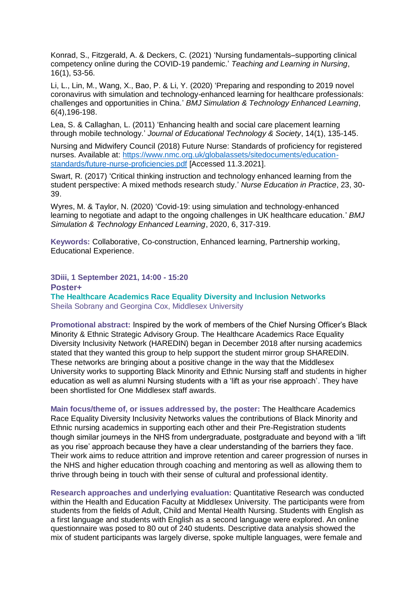Konrad, S., Fitzgerald, A. & Deckers, C. (2021) 'Nursing fundamentals–supporting clinical competency online during the COVID-19 pandemic.' *Teaching and Learning in Nursing*, 16(1), 53-56.

Li, L., Lin, M., Wang, X., Bao, P. & Li, Y. (2020) 'Preparing and responding to 2019 novel coronavirus with simulation and technology-enhanced learning for healthcare professionals: challenges and opportunities in China.' *BMJ Simulation & Technology Enhanced Learning*, 6(4),196-198.

Lea, S. & Callaghan, L. (2011) 'Enhancing health and social care placement learning through mobile technology.' *Journal of Educational Technology & Society*, 14(1), 135-145.

Nursing and Midwifery Council (2018) Future Nurse: Standards of proficiency for registered nurses. Available at: [https://www.nmc.org.uk/globalassets/sitedocuments/education](https://www.nmc.org.uk/globalassets/sitedocuments/education-standards/future-nurse-proficiencies.pdf)[standards/future-nurse-proficiencies.pdf](https://www.nmc.org.uk/globalassets/sitedocuments/education-standards/future-nurse-proficiencies.pdf) [Accessed 11.3.2021].

Swart, R. (2017) 'Critical thinking instruction and technology enhanced learning from the student perspective: A mixed methods research study.' *Nurse Education in Practice*, 23, 30- 39.

Wyres, M. & Taylor, N. (2020) 'Covid-19: using simulation and technology-enhanced learning to negotiate and adapt to the ongoing challenges in UK healthcare education.' *BMJ Simulation & Technology Enhanced Learning*, 2020, 6, 317-319.

**Keywords:** Collaborative, Co-construction, Enhanced learning, Partnership working, Educational Experience.

**3Diii, 1 September 2021, 14:00 - 15:20 Poster+ The Healthcare Academics Race Equality Diversity and Inclusion Networks** Sheila Sobrany and Georgina Cox, Middlesex University

**Promotional abstract:** Inspired by the work of members of the Chief Nursing Officer's Black Minority & Ethnic Strategic Advisory Group. The Healthcare Academics Race Equality Diversity Inclusivity Network (HAREDIN) began in December 2018 after nursing academics stated that they wanted this group to help support the student mirror group SHAREDIN. These networks are bringing about a positive change in the way that the Middlesex University works to supporting Black Minority and Ethnic Nursing staff and students in higher education as well as alumni Nursing students with a 'lift as your rise approach'. They have been shortlisted for One Middlesex staff awards.

**Main focus/theme of, or issues addressed by, the poster:** The Healthcare Academics Race Equality Diversity Inclusivity Networks values the contributions of Black Minority and Ethnic nursing academics in supporting each other and their Pre-Registration students though similar journeys in the NHS from undergraduate, postgraduate and beyond with a 'lift as you rise' approach because they have a clear understanding of the barriers they face. Their work aims to reduce attrition and improve retention and career progression of nurses in the NHS and higher education through coaching and mentoring as well as allowing them to thrive through being in touch with their sense of cultural and professional identity.

**Research approaches and underlying evaluation:** Quantitative Research was conducted within the Health and Education Faculty at Middlesex University. The participants were from students from the fields of Adult, Child and Mental Health Nursing. Students with English as a first language and students with English as a second language were explored. An online questionnaire was posed to 80 out of 240 students. Descriptive data analysis showed the mix of student participants was largely diverse, spoke multiple languages, were female and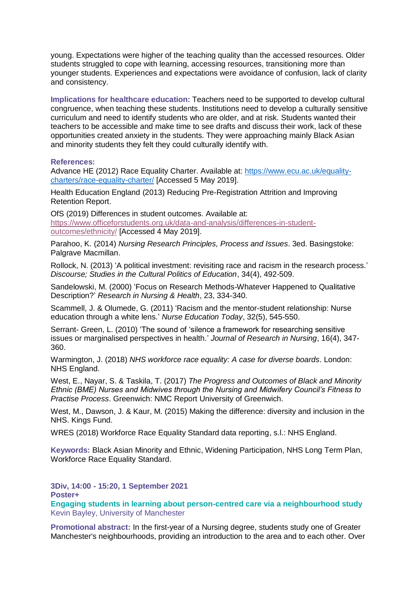young. Expectations were higher of the teaching quality than the accessed resources. Older students struggled to cope with learning, accessing resources, transitioning more than younger students. Experiences and expectations were avoidance of confusion, lack of clarity and consistency.

**Implications for healthcare education:** Teachers need to be supported to develop cultural congruence, when teaching these students. Institutions need to develop a culturally sensitive curriculum and need to identify students who are older, and at risk. Students wanted their teachers to be accessible and make time to see drafts and discuss their work, lack of these opportunities created anxiety in the students. They were approaching mainly Black Asian and minority students they felt they could culturally identify with.

#### **References:**

Advance HE (2012) Race Equality Charter. Available at: [https://www.ecu.ac.uk/equality](https://www.ecu.ac.uk/equality-charters/race-equality-charter/)[charters/race-equality-charter/](https://www.ecu.ac.uk/equality-charters/race-equality-charter/) [Accessed 5 May 2019].

Health Education England (2013) Reducing Pre-Registration Attrition and Improving Retention Report.

OfS (2019) Differences in student outcomes. Available at: [https://www.officeforstudents.org.uk/data-and-analysis/differences-in-student](https://www.officeforstudents.org.uk/data-and-analysis/differences-in-student-outcomes/ethnicity/)[outcomes/ethnicity/](https://www.officeforstudents.org.uk/data-and-analysis/differences-in-student-outcomes/ethnicity/) [Accessed 4 May 2019].

Parahoo, K. (2014) *Nursing Research Principles, Process and Issues*. 3ed. Basingstoke: Palgrave Macmillan.

Rollock, N. (2013) 'A political investment: revisiting race and racism in the research process.' *Discourse; Studies in the Cultural Politics of Education*, 34(4), 492-509.

Sandelowski, M. (2000) 'Focus on Research Methods-Whatever Happened to Qualitative Description?' *Research in Nursing & Health*, 23, 334-340.

Scammell, J. & Olumede, G. (2011) 'Racism and the mentor-student relationship: Nurse education through a white lens.' *Nurse Education Today*, 32(5), 545-550.

Serrant- Green, L. (2010) 'The sound of 'silence a framework for researching sensitive issues or marginalised perspectives in health.' *Journal of Research in Nursing*, 16(4), 347- 360.

Warmington, J. (2018) *NHS workforce race equality: A case for diverse boards*. London: NHS England.

West, E., Nayar, S. & Taskila, T. (2017) *The Progress and Outcomes of Black and Minority Ethnic (BME) Nurses and Midwives through the Nursing and Midwifery Council's Fitness to Practise Process*. Greenwich: NMC Report University of Greenwich.

West, M., Dawson, J. & Kaur, M. (2015) Making the difference: diversity and inclusion in the NHS. Kings Fund.

WRES (2018) Workforce Race Equality Standard data reporting, s.l.: NHS England.

**Keywords:** Black Asian Minority and Ethnic, Widening Participation, NHS Long Term Plan, Workforce Race Equality Standard.

**3Div, 14:00 - 15:20, 1 September 2021** 

**Poster+** 

**Engaging students in learning about person-centred care via a neighbourhood study**  Kevin Bayley, University of Manchester

**Promotional abstract:** In the first-year of a Nursing degree, students study one of Greater Manchester's neighbourhoods, providing an introduction to the area and to each other. Over